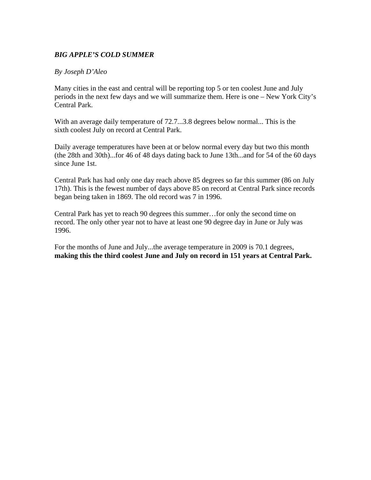## *BIG APPLE'S COLD SUMMER*

## *By Joseph D'Aleo*

Many cities in the east and central will be reporting top 5 or ten coolest June and July periods in the next few days and we will summarize them. Here is one – New York City's Central Park.

With an average daily temperature of 72.7...3.8 degrees below normal... This is the sixth coolest July on record at Central Park.

Daily average temperatures have been at or below normal every day but two this month (the 28th and 30th)...for 46 of 48 days dating back to June 13th...and for 54 of the 60 days since June 1st.

Central Park has had only one day reach above 85 degrees so far this summer (86 on July 17th). This is the fewest number of days above 85 on record at Central Park since records began being taken in 1869. The old record was 7 in 1996.

Central Park has yet to reach 90 degrees this summer…for only the second time on record. The only other year not to have at least one 90 degree day in June or July was 1996.

For the months of June and July...the average temperature in 2009 is 70.1 degrees, **making this the third coolest June and July on record in 151 years at Central Park.**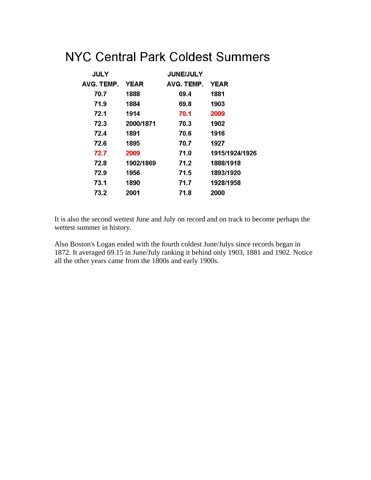## NYC Central Park Coldest Summers

| <b>JULY</b> |             | <b>JUNE/JULY</b> |                |
|-------------|-------------|------------------|----------------|
| AVG. TEMP.  | <b>YEAR</b> | AVG. TEMP.       | <b>YEAR</b>    |
| 70.7        | 1888        | 69.4             | 1881           |
| 71.9        | 1884        | 69.8             | 1903           |
| 72.1        | 1914        | 70.1             | 2009           |
| 72.3        | 2000/1871   | 70.3             | 1902           |
| 72.4        | 1891        | 70.6             | 1916           |
| 72.6        | 1895        | 70.7             | 1927           |
| 72.7        | 2009        | 71.0             | 1915/1924/1926 |
| 72.8        | 1902/1869   | 71.2             | 1888/1918      |
| 72.9        | 1956        | 71.5             | 1893/1920      |
| 73.1        | 1890        | 71.7             | 1928/1958      |
| 73.2        | 2001        | 71.8             | 2000           |
|             |             |                  |                |

It is also the second wettest June and July on record and on track to become perhaps the wettest summer in history.

Also Boston's Logan ended with the fourth coldest June/Julys since records began in 1872. It averaged 69.15 in June/July ranking it behind only 1903, 1881 and 1902. Notice all the other years came from the 1800s and early 1900s.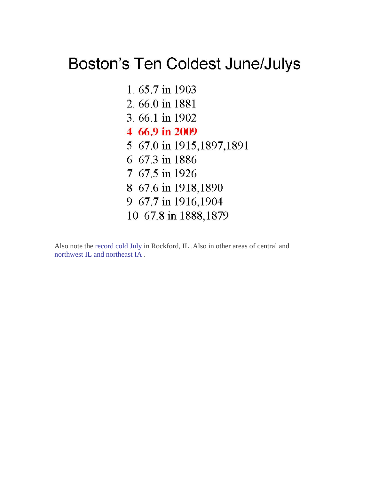## **Boston's Ten Coldest June/Julys**

1.65.7 in 1903 2.66.0 in 1881 3.66.1 in 1902 4 66.9 in 2009 5 67.0 in 1915, 1897, 1891 6 67.3 in 1886 7 67.5 in 1926 8 67.6 in 1918,1890 9 67.7 in 1916,1904 10 67.8 in 1888,1879

Also note the [record cold July](http://www.crh.noaa.gov/news/display_cmsstory.php?wfo=lot&storyid=30079&source=0) in Rockford, IL .Also in other areas of central and [northwest IL and northeast IA .](http://www.crh.noaa.gov/news/display_cmsstory.php?wfo=dvn&storyid=30025&source=0)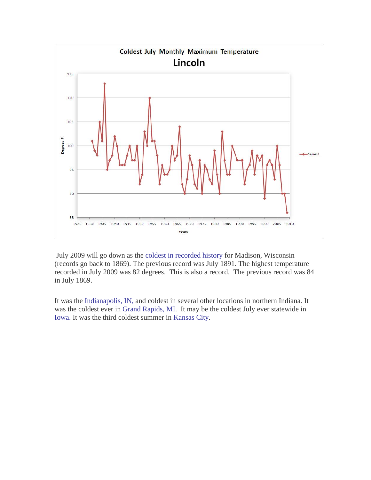

 July 2009 will go down as the [coldest in recorded history](http://www.crh.noaa.gov/news/display_cmsstory.php?wfo=mkx&storyid=30062&source=0) for Madison, Wisconsin (records go back to 1869). The previous record was July 1891. The highest temperature recorded in July 2009 was 82 degrees. This is also a record. The previous record was 84 in July 1869.

It was the [Indianapolis, IN,](http://www.crh.noaa.gov/news/display_cmsstory.php?wfo=ind&storyid=29929&source=0) and coldest in several other locations in northern Indiana. It was the coldest ever in [Grand Rapids, MI](http://www.crh.noaa.gov/news/display_cmsstory.php?wfo=grr&storyid=30077&source=0). It may be the coldest July ever statewide in [Iowa.](http://www.crh.noaa.gov/news/display_cmsstory.php?wfo=dmx&storyid=29993&source=0) It was the third coldest summer in [Kansas City.](http://www.crh.noaa.gov/news/display_cmsstory.php?wfo=eax&storyid=29911&source=0)